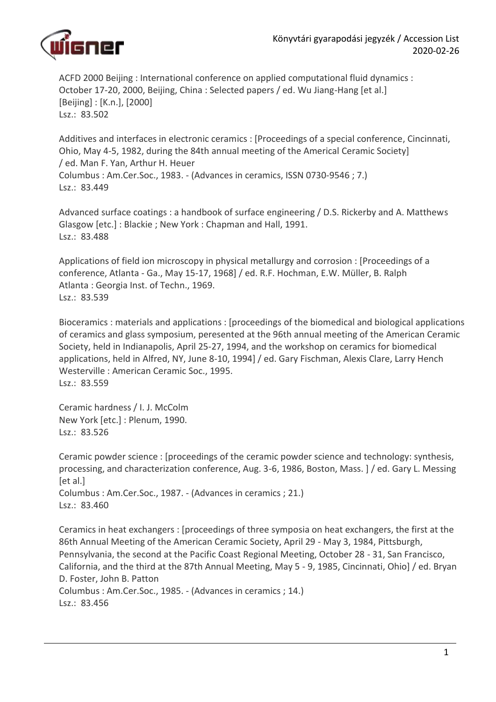

ACFD 2000 Beijing : International conference on applied computational fluid dynamics : October 17-20, 2000, Beijing, China : Selected papers / ed. Wu Jiang-Hang [et al.] [Beijing] : [K.n.], [2000] Lsz.: 83.502

Additives and interfaces in electronic ceramics : [Proceedings of a special conference, Cincinnati, Ohio, May 4-5, 1982, during the 84th annual meeting of the Americal Ceramic Society] / ed. Man F. Yan, Arthur H. Heuer Columbus : Am.Cer.Soc., 1983. - (Advances in ceramics, ISSN 0730-9546 ; 7.) Lsz.: 83.449

Advanced surface coatings : a handbook of surface engineering / D.S. Rickerby and A. Matthews Glasgow [etc.] : Blackie ; New York : Chapman and Hall, 1991. Lsz.: 83.488

Applications of field ion microscopy in physical metallurgy and corrosion : [Proceedings of a conference, Atlanta - Ga., May 15-17, 1968] / ed. R.F. Hochman, E.W. Müller, B. Ralph Atlanta : Georgia Inst. of Techn., 1969. Lsz.: 83.539

Bioceramics : materials and applications : [proceedings of the biomedical and biological applications of ceramics and glass symposium, peresented at the 96th annual meeting of the American Ceramic Society, held in Indianapolis, April 25-27, 1994, and the workshop on ceramics for biomedical applications, held in Alfred, NY, June 8-10, 1994] / ed. Gary Fischman, Alexis Clare, Larry Hench Westerville : American Ceramic Soc., 1995. Lsz.: 83.559

Ceramic hardness / I. J. McColm New York [etc.] : Plenum, 1990. Lsz.: 83.526

Ceramic powder science : [proceedings of the ceramic powder science and technology: synthesis, processing, and characterization conference, Aug. 3-6, 1986, Boston, Mass. ] / ed. Gary L. Messing [et al.] Columbus : Am.Cer.Soc., 1987. - (Advances in ceramics ; 21.) Lsz.: 83.460

Ceramics in heat exchangers : [proceedings of three symposia on heat exchangers, the first at the 86th Annual Meeting of the American Ceramic Society, April 29 - May 3, 1984, Pittsburgh, Pennsylvania, the second at the Pacific Coast Regional Meeting, October 28 - 31, San Francisco, California, and the third at the 87th Annual Meeting, May 5 - 9, 1985, Cincinnati, Ohio] / ed. Bryan D. Foster, John B. Patton Columbus : Am.Cer.Soc., 1985. - (Advances in ceramics ; 14.) Lsz.: 83.456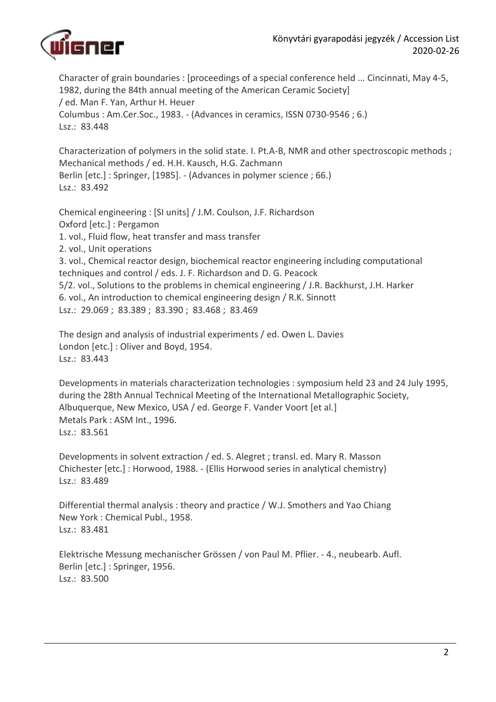

Character of grain boundaries : [proceedings of a special conference held ... Cincinnati, May 4-5, 1982, during the 84th annual meeting of the American Ceramic Society] / ed. Man F. Yan, Arthur H. Heuer Columbus : Am.Cer.Soc., 1983. - (Advances in ceramics, ISSN 0730-9546 ; 6.) Lsz.: 83.448

Characterization of polymers in the solid state. I. Pt.A-B, NMR and other spectroscopic methods ; Mechanical methods / ed. H.H. Kausch, H.G. Zachmann Berlin [etc.] : Springer, [1985]. - (Advances in polymer science ; 66.) Lsz.: 83.492

Chemical engineering : [SI units] / J.M. Coulson, J.F. Richardson Oxford [etc.] : Pergamon 1. vol., Fluid flow, heat transfer and mass transfer 2. vol., Unit operations 3. vol., Chemical reactor design, biochemical reactor engineering including computational techniques and control / eds. J. F. Richardson and D. G. Peacock 5/2. vol., Solutions to the problems in chemical engineering / J.R. Backhurst, J.H. Harker 6. vol., An introduction to chemical engineering design / R.K. Sinnott Lsz.: 29.069 ; 83.389 ; 83.390 ; 83.468 ; 83.469

The design and analysis of industrial experiments / ed. Owen L. Davies London [etc.] : Oliver and Boyd, 1954. Lsz.: 83.443

Developments in materials characterization technologies : symposium held 23 and 24 July 1995, during the 28th Annual Technical Meeting of the International Metallographic Society, Albuquerque, New Mexico, USA / ed. George F. Vander Voort [et al.] Metals Park : ASM Int., 1996. Lsz.: 83.561

Developments in solvent extraction / ed. S. Alegret ; transl. ed. Mary R. Masson Chichester [etc.] : Horwood, 1988. - (Ellis Horwood series in analytical chemistry) Lsz.: 83.489

Differential thermal analysis : theory and practice / W.J. Smothers and Yao Chiang New York : Chemical Publ., 1958. Lsz.: 83.481

Elektrische Messung mechanischer Grössen / von Paul M. Pflier. - 4., neubearb. Aufl. Berlin [etc.] : Springer, 1956. Lsz.: 83.500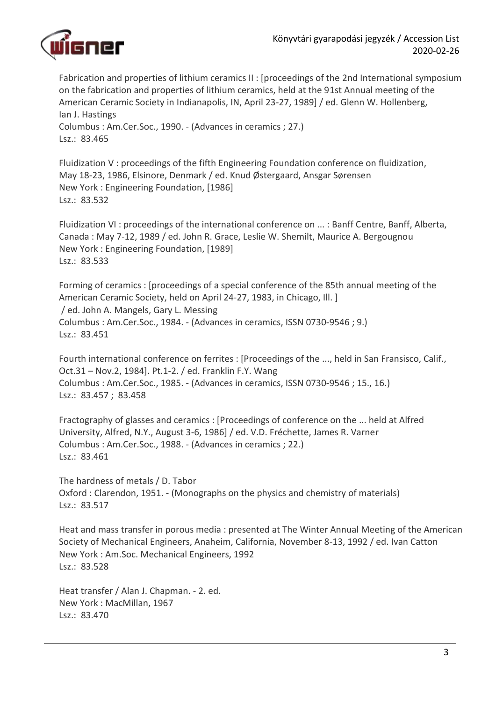

Fabrication and properties of lithium ceramics II : [proceedings of the 2nd International symposium on the fabrication and properties of lithium ceramics, held at the 91st Annual meeting of the American Ceramic Society in Indianapolis, IN, April 23-27, 1989] / ed. Glenn W. Hollenberg, Ian J. Hastings Columbus : Am.Cer.Soc., 1990. - (Advances in ceramics ; 27.) Lsz.: 83.465

Fluidization V : proceedings of the fifth Engineering Foundation conference on fluidization, May 18-23, 1986, Elsinore, Denmark / ed. Knud Østergaard, Ansgar Sørensen New York : Engineering Foundation, [1986] Lsz.: 83.532

Fluidization VI : proceedings of the international conference on ... : Banff Centre, Banff, Alberta, Canada : May 7-12, 1989 / ed. John R. Grace, Leslie W. Shemilt, Maurice A. Bergougnou New York : Engineering Foundation, [1989] Lsz.: 83.533

Forming of ceramics : [proceedings of a special conference of the 85th annual meeting of the American Ceramic Society, held on April 24-27, 1983, in Chicago, Ill. ] / ed. John A. Mangels, Gary L. Messing Columbus : Am.Cer.Soc., 1984. - (Advances in ceramics, ISSN 0730-9546 ; 9.) Lsz.: 83.451

Fourth international conference on ferrites : [Proceedings of the ..., held in San Fransisco, Calif., Oct.31 – Nov.2, 1984]. Pt.1-2. / ed. Franklin F.Y. Wang Columbus : Am.Cer.Soc., 1985. - (Advances in ceramics, ISSN 0730-9546 ; 15., 16.) Lsz.: 83.457 ; 83.458

Fractography of glasses and ceramics : [Proceedings of conference on the ... held at Alfred University, Alfred, N.Y., August 3-6, 1986] / ed. V.D. Fréchette, James R. Varner Columbus : Am.Cer.Soc., 1988. - (Advances in ceramics ; 22.) Lsz.: 83.461

The hardness of metals / D. Tabor Oxford : Clarendon, 1951. - (Monographs on the physics and chemistry of materials) Lsz.: 83.517

Heat and mass transfer in porous media : presented at The Winter Annual Meeting of the American Society of Mechanical Engineers, Anaheim, California, November 8-13, 1992 / ed. Ivan Catton New York : Am.Soc. Mechanical Engineers, 1992 Lsz.: 83.528

Heat transfer / Alan J. Chapman. - 2. ed. New York : MacMillan, 1967 Lsz.: 83.470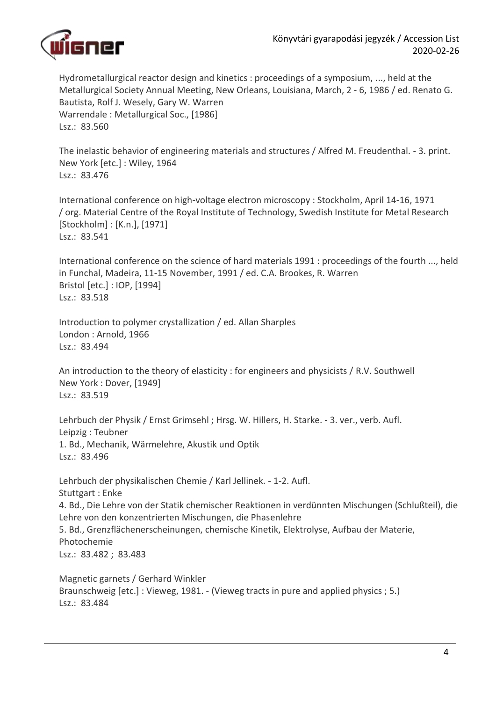

Hydrometallurgical reactor design and kinetics : proceedings of a symposium, ..., held at the Metallurgical Society Annual Meeting, New Orleans, Louisiana, March, 2 - 6, 1986 / ed. Renato G. Bautista, Rolf J. Wesely, Gary W. Warren Warrendale : Metallurgical Soc., [1986] Lsz.: 83.560

The inelastic behavior of engineering materials and structures / Alfred M. Freudenthal. - 3. print. New York [etc.] : Wiley, 1964 Lsz.: 83.476

International conference on high-voltage electron microscopy : Stockholm, April 14-16, 1971 / org. Material Centre of the Royal Institute of Technology, Swedish Institute for Metal Research [Stockholm] : [K.n.], [1971] Lsz.: 83.541

International conference on the science of hard materials 1991 : proceedings of the fourth ..., held in Funchal, Madeira, 11-15 November, 1991 / ed. C.A. Brookes, R. Warren Bristol [etc.] : IOP, [1994] Lsz.: 83.518

Introduction to polymer crystallization / ed. Allan Sharples London : Arnold, 1966 Lsz.: 83.494

An introduction to the theory of elasticity : for engineers and physicists / R.V. Southwell New York : Dover, [1949] Lsz.: 83.519

Lehrbuch der Physik / Ernst Grimsehl ; Hrsg. W. Hillers, H. Starke. - 3. ver., verb. Aufl. Leipzig : Teubner 1. Bd., Mechanik, Wärmelehre, Akustik und Optik Lsz.: 83.496

Lehrbuch der physikalischen Chemie / Karl Jellinek. - 1-2. Aufl. Stuttgart : Enke 4. Bd., Die Lehre von der Statik chemischer Reaktionen in verdünnten Mischungen (Schlußteil), die Lehre von den konzentrierten Mischungen, die Phasenlehre 5. Bd., Grenzflächenerscheinungen, chemische Kinetik, Elektrolyse, Aufbau der Materie, Photochemie Lsz.: 83.482 ; 83.483

Magnetic garnets / Gerhard Winkler Braunschweig [etc.] : Vieweg, 1981. - (Vieweg tracts in pure and applied physics ; 5.) Lsz.: 83.484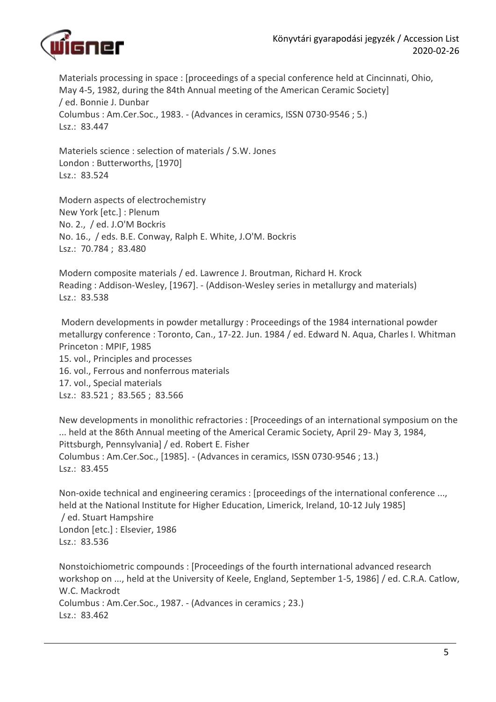

Materials processing in space : [proceedings of a special conference held at Cincinnati, Ohio, May 4-5, 1982, during the 84th Annual meeting of the American Ceramic Society] / ed. Bonnie J. Dunbar Columbus : Am.Cer.Soc., 1983. - (Advances in ceramics, ISSN 0730-9546 ; 5.) Lsz.: 83.447

Materiels science : selection of materials / S.W. Jones London : Butterworths, [1970] Lsz.: 83.524

Modern aspects of electrochemistry New York [etc.] : Plenum No. 2., / ed. J.O'M Bockris No. 16., / eds. B.E. Conway, Ralph E. White, J.O'M. Bockris Lsz.: 70.784 ; 83.480

Modern composite materials / ed. Lawrence J. Broutman, Richard H. Krock Reading : Addison-Wesley, [1967]. - (Addison-Wesley series in metallurgy and materials) Lsz.: 83.538

Modern developments in powder metallurgy : Proceedings of the 1984 international powder metallurgy conference : Toronto, Can., 17-22. Jun. 1984 / ed. Edward N. Aqua, Charles I. Whitman Princeton : MPIF, 1985 15. vol., Principles and processes 16. vol., Ferrous and nonferrous materials 17. vol., Special materials Lsz.: 83.521 ; 83.565 ; 83.566

New developments in monolithic refractories : [Proceedings of an international symposium on the ... held at the 86th Annual meeting of the Americal Ceramic Society, April 29- May 3, 1984, Pittsburgh, Pennsylvania] / ed. Robert E. Fisher Columbus : Am.Cer.Soc., [1985]. - (Advances in ceramics, ISSN 0730-9546 ; 13.) Lsz.: 83.455

Non-oxide technical and engineering ceramics : [proceedings of the international conference ..., held at the National Institute for Higher Education, Limerick, Ireland, 10-12 July 1985] / ed. Stuart Hampshire London [etc.] : Elsevier, 1986 Lsz.: 83.536

Nonstoichiometric compounds : [Proceedings of the fourth international advanced research workshop on ..., held at the University of Keele, England, September 1-5, 1986] / ed. C.R.A. Catlow, W.C. Mackrodt Columbus : Am.Cer.Soc., 1987. - (Advances in ceramics ; 23.) Lsz.: 83.462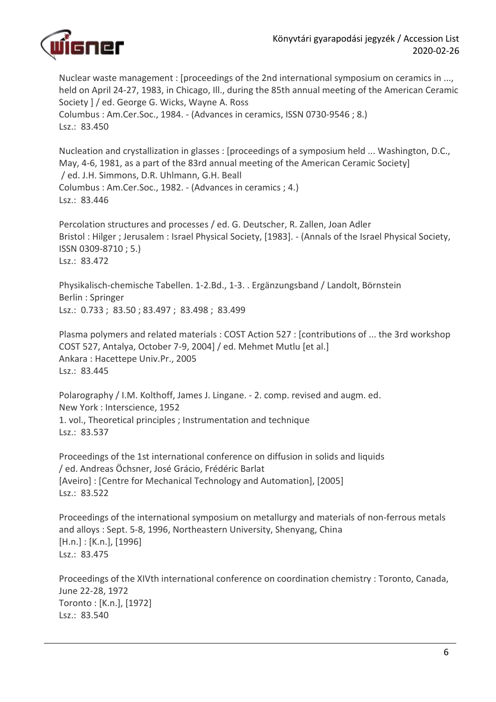

Nuclear waste management : [proceedings of the 2nd international symposium on ceramics in ..., held on April 24-27, 1983, in Chicago, Ill., during the 85th annual meeting of the American Ceramic Society ] / ed. George G. Wicks, Wayne A. Ross Columbus : Am.Cer.Soc., 1984. - (Advances in ceramics, ISSN 0730-9546 ; 8.) Lsz.: 83.450

Nucleation and crystallization in glasses : [proceedings of a symposium held ... Washington, D.C., May, 4-6, 1981, as a part of the 83rd annual meeting of the American Ceramic Society] / ed. J.H. Simmons, D.R. Uhlmann, G.H. Beall Columbus : Am.Cer.Soc., 1982. - (Advances in ceramics ; 4.) Lsz.: 83.446

Percolation structures and processes / ed. G. Deutscher, R. Zallen, Joan Adler Bristol : Hilger ; Jerusalem : Israel Physical Society, [1983]. - (Annals of the Israel Physical Society, ISSN 0309-8710 ; 5.) Lsz.: 83.472

Physikalisch-chemische Tabellen. 1-2.Bd., 1-3. . Ergänzungsband / Landolt, Börnstein Berlin : Springer Lsz.: 0.733 ; 83.50 ; 83.497 ; 83.498 ; 83.499

Plasma polymers and related materials : COST Action 527 : [contributions of ... the 3rd workshop COST 527, Antalya, October 7-9, 2004] / ed. Mehmet Mutlu [et al.] Ankara : Hacettepe Univ.Pr., 2005 Lsz.: 83.445

Polarography / I.M. Kolthoff, James J. Lingane. - 2. comp. revised and augm. ed. New York : Interscience, 1952 1. vol., Theoretical principles ; Instrumentation and technique Lsz.: 83.537

Proceedings of the 1st international conference on diffusion in solids and liquids / ed. Andreas Öchsner, José Grácio, Frédéric Barlat [Aveiro] : [Centre for Mechanical Technology and Automation], [2005] Lsz.: 83.522

Proceedings of the international symposium on metallurgy and materials of non-ferrous metals and alloys : Sept. 5-8, 1996, Northeastern University, Shenyang, China [H.n.] : [K.n.], [1996] Lsz.: 83.475

Proceedings of the XIVth international conference on coordination chemistry : Toronto, Canada, June 22-28, 1972 Toronto : [K.n.], [1972] Lsz.: 83.540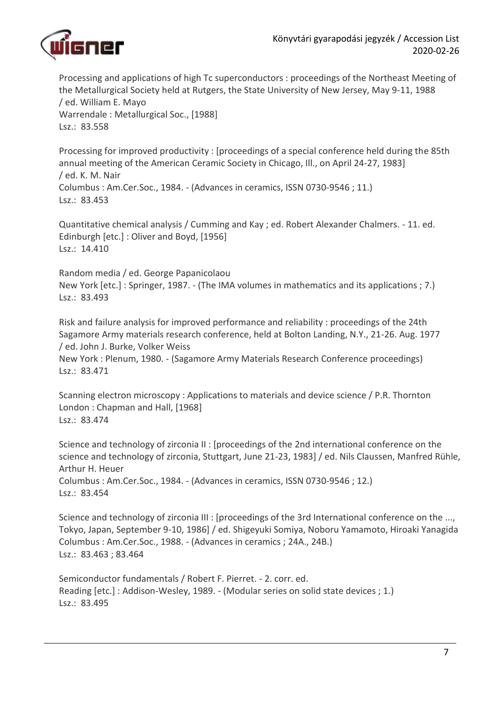

Processing and applications of high Tc superconductors : proceedings of the Northeast Meeting of the Metallurgical Society held at Rutgers, the State University of New Jersey, May 9-11, 1988 / ed. William E. Mayo Warrendale : Metallurgical Soc., [1988] Lsz.: 83.558

Processing for improved productivity : [proceedings of a special conference held during the 85th annual meeting of the American Ceramic Society in Chicago, Ill., on April 24-27, 1983] / ed. K. M. Nair Columbus : Am.Cer.Soc., 1984. - (Advances in ceramics, ISSN 0730-9546 ; 11.) Lsz.: 83.453

Quantitative chemical analysis / Cumming and Kay ; ed. Robert Alexander Chalmers. - 11. ed. Edinburgh [etc.] : Oliver and Boyd, [1956] Lsz.: 14.410

Random media / ed. George Papanicolaou New York [etc.] : Springer, 1987. - (The IMA volumes in mathematics and its applications ; 7.) Lsz.: 83.493

Risk and failure analysis for improved performance and reliability : proceedings of the 24th Sagamore Army materials research conference, held at Bolton Landing, N.Y., 21-26. Aug. 1977 / ed. John J. Burke, Volker Weiss

New York : Plenum, 1980. - (Sagamore Army Materials Research Conference proceedings) Lsz.: 83.471

Scanning electron microscopy : Applications to materials and device science / P.R. Thornton London : Chapman and Hall, [1968] Lsz.: 83.474

Science and technology of zirconia II : [proceedings of the 2nd international conference on the science and technology of zirconia, Stuttgart, June 21-23, 1983] / ed. Nils Claussen, Manfred Rühle, Arthur H. Heuer Columbus : Am.Cer.Soc., 1984. - (Advances in ceramics, ISSN 0730-9546 ; 12.) Lsz.: 83.454

Science and technology of zirconia III : [proceedings of the 3rd International conference on the ..., Tokyo, Japan, September 9-10, 1986] / ed. Shigeyuki Somiya, Noboru Yamamoto, Hiroaki Yanagida Columbus : Am.Cer.Soc., 1988. - (Advances in ceramics ; 24A., 24B.) Lsz.: 83.463 ; 83.464

Semiconductor fundamentals / Robert F. Pierret. - 2. corr. ed. Reading [etc.] : Addison-Wesley, 1989. - (Modular series on solid state devices ; 1.) Lsz.: 83.495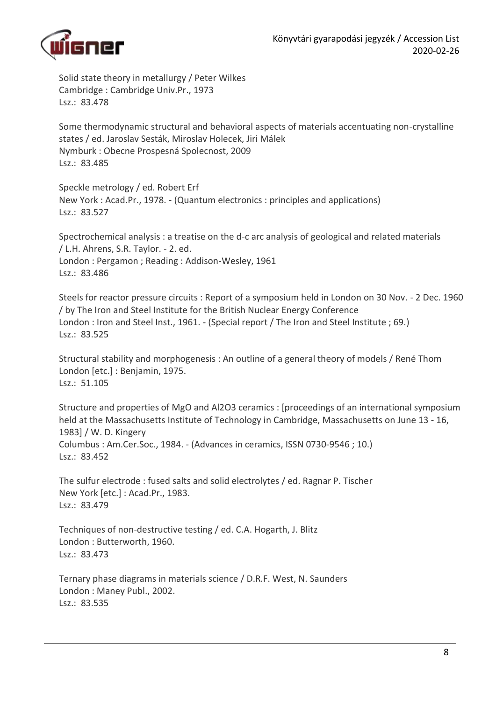

Solid state theory in metallurgy / Peter Wilkes Cambridge : Cambridge Univ.Pr., 1973 Lsz.: 83.478

Some thermodynamic structural and behavioral aspects of materials accentuating non-crystalline states / ed. Jaroslav Sesták, Miroslav Holecek, Jiri Málek Nymburk : Obecne Prospesná Spolecnost, 2009 Lsz.: 83.485

Speckle metrology / ed. Robert Erf New York : Acad.Pr., 1978. - (Quantum electronics : principles and applications) Lsz.: 83.527

Spectrochemical analysis : a treatise on the d-c arc analysis of geological and related materials / L.H. Ahrens, S.R. Taylor. - 2. ed. London : Pergamon ; Reading : Addison-Wesley, 1961 Lsz.: 83.486

Steels for reactor pressure circuits : Report of a symposium held in London on 30 Nov. - 2 Dec. 1960 / by The Iron and Steel Institute for the British Nuclear Energy Conference London : Iron and Steel Inst., 1961. - (Special report / The Iron and Steel Institute ; 69.) Lsz.: 83.525

Structural stability and morphogenesis : An outline of a general theory of models / René Thom London [etc.] : Benjamin, 1975. Lsz.: 51.105

Structure and properties of MgO and Al2O3 ceramics : [proceedings of an international symposium held at the Massachusetts Institute of Technology in Cambridge, Massachusetts on June 13 - 16, 1983] / W. D. Kingery Columbus : Am.Cer.Soc., 1984. - (Advances in ceramics, ISSN 0730-9546 ; 10.) Lsz.: 83.452

The sulfur electrode : fused salts and solid electrolytes / ed. Ragnar P. Tischer New York [etc.] : Acad.Pr., 1983. Lsz.: 83.479

Techniques of non-destructive testing / ed. C.A. Hogarth, J. Blitz London : Butterworth, 1960. Lsz.: 83.473

Ternary phase diagrams in materials science / D.R.F. West, N. Saunders London : Maney Publ., 2002. Lsz.: 83.535